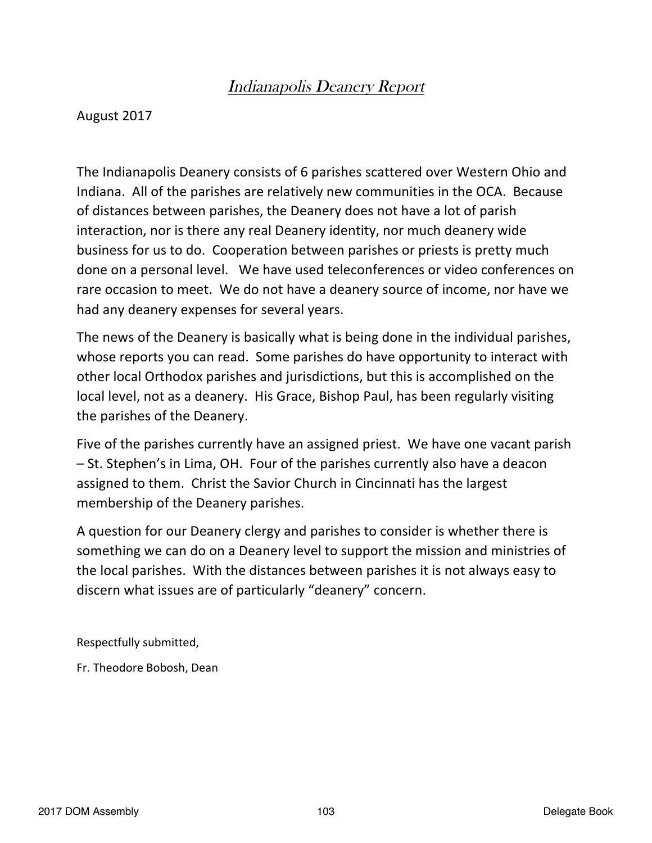# Indianapolis Deanery Report

## August 2017

The Indianapolis Deanery consists of 6 parishes scattered over Western Ohio and Indiana. All of the parishes are relatively new communities in the OCA. Because of distances between parishes, the Deanery does not have a lot of parish interaction, nor is there any real Deanery identity, nor much deanery wide business for us to do. Cooperation between parishes or priests is pretty much done on a personal level. We have used teleconferences or video conferences on rare occasion to meet. We do not have a deanery source of income, nor have we had any deanery expenses for several years.

The news of the Deanery is basically what is being done in the individual parishes, whose reports you can read. Some parishes do have opportunity to interact with other local Orthodox parishes and jurisdictions, but this is accomplished on the local level, not as a deanery. His Grace, Bishop Paul, has been regularly visiting the parishes of the Deanery.

Five of the parishes currently have an assigned priest. We have one vacant parish  $-$  St. Stephen's in Lima, OH. Four of the parishes currently also have a deacon assigned to them. Christ the Savior Church in Cincinnati has the largest membership of the Deanery parishes.

A question for our Deanery clergy and parishes to consider is whether there is something we can do on a Deanery level to support the mission and ministries of the local parishes. With the distances between parishes it is not always easy to discern what issues are of particularly "deanery" concern.

Respectfully submitted,

Fr. Theodore Bobosh, Dean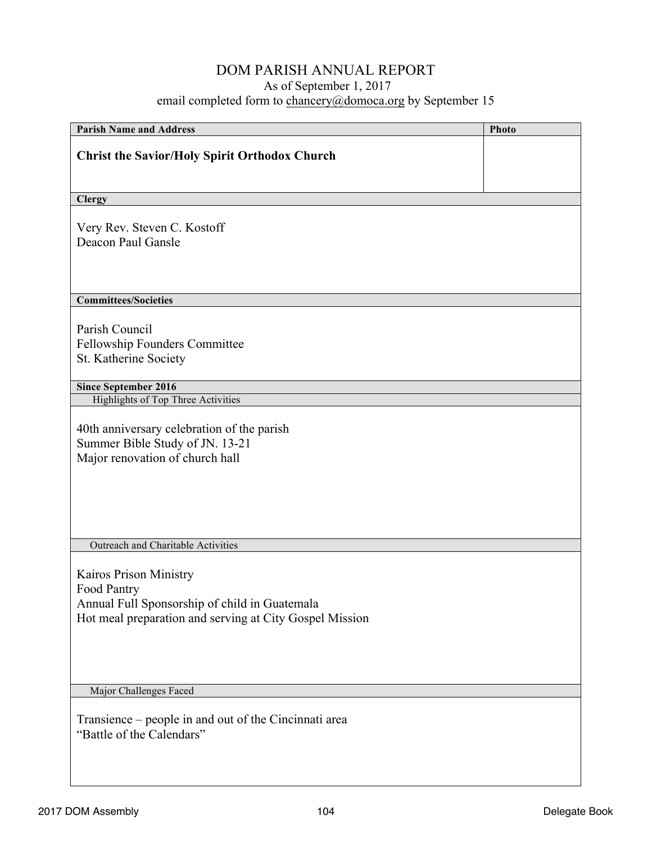| <b>Parish Name and Address</b>                                                                                                                    | Photo |
|---------------------------------------------------------------------------------------------------------------------------------------------------|-------|
| <b>Christ the Savior/Holy Spirit Orthodox Church</b>                                                                                              |       |
| <b>Clergy</b>                                                                                                                                     |       |
|                                                                                                                                                   |       |
| Very Rev. Steven C. Kostoff<br>Deacon Paul Gansle                                                                                                 |       |
| <b>Committees/Societies</b>                                                                                                                       |       |
|                                                                                                                                                   |       |
| Parish Council                                                                                                                                    |       |
| Fellowship Founders Committee                                                                                                                     |       |
| St. Katherine Society                                                                                                                             |       |
| <b>Since September 2016</b>                                                                                                                       |       |
| <b>Highlights of Top Three Activities</b>                                                                                                         |       |
| 40th anniversary celebration of the parish<br>Summer Bible Study of JN. 13-21<br>Major renovation of church hall                                  |       |
| Outreach and Charitable Activities                                                                                                                |       |
| Kairos Prison Ministry<br>Food Pantry<br>Annual Full Sponsorship of child in Guatemala<br>Hot meal preparation and serving at City Gospel Mission |       |
| Major Challenges Faced                                                                                                                            |       |
| Transience – people in and out of the Cincinnati area<br>"Battle of the Calendars"                                                                |       |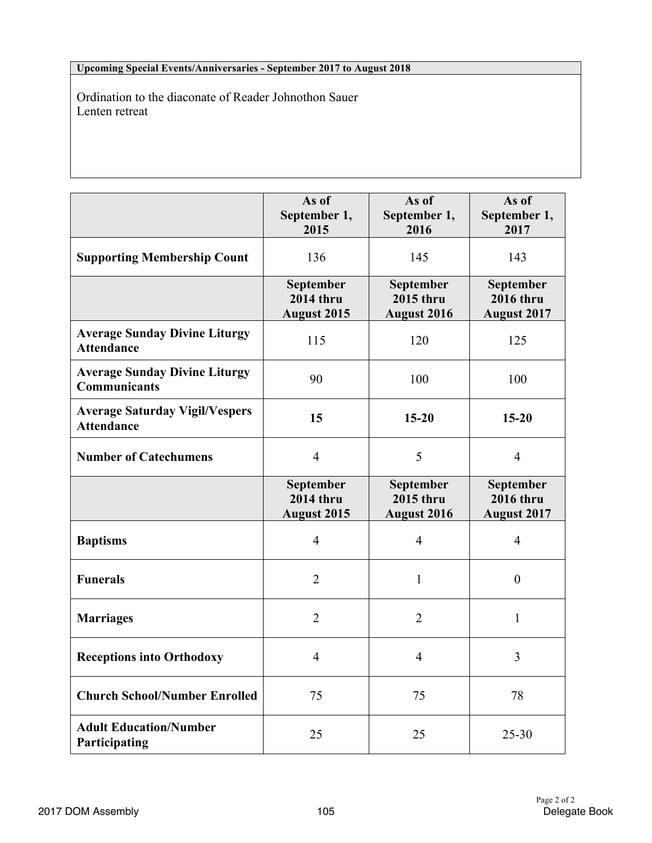#### **Upcoming Special Events/Anniversaries - September 2017 to August 2018**

Ordination to the diaconate of Reader Johnothon Sauer Lenten retreat

|                                                             | As of<br>September 1,<br>2015                       | As of<br>September 1,<br>2016                       | As of<br>September 1,<br>2017                       |
|-------------------------------------------------------------|-----------------------------------------------------|-----------------------------------------------------|-----------------------------------------------------|
| <b>Supporting Membership Count</b>                          | 136                                                 | 145                                                 | 143                                                 |
|                                                             | September<br><b>2014 thru</b><br><b>August 2015</b> | September<br><b>2015 thru</b><br><b>August 2016</b> | September<br><b>2016 thru</b><br><b>August 2017</b> |
| <b>Average Sunday Divine Liturgy</b><br><b>Attendance</b>   | 115                                                 | 120                                                 | 125                                                 |
| <b>Average Sunday Divine Liturgy</b><br><b>Communicants</b> | 90                                                  | 100                                                 | 100                                                 |
| <b>Average Saturday Vigil/Vespers</b><br><b>Attendance</b>  | 15                                                  | $15 - 20$                                           | $15 - 20$                                           |
| <b>Number of Catechumens</b>                                | $\overline{4}$                                      | 5                                                   | $\overline{4}$                                      |
|                                                             | September<br><b>2014 thru</b><br><b>August 2015</b> | September<br><b>2015 thru</b><br><b>August 2016</b> | September<br><b>2016 thru</b><br><b>August 2017</b> |
| <b>Baptisms</b>                                             | $\overline{4}$                                      | $\overline{4}$                                      | $\overline{4}$                                      |
| <b>Funerals</b>                                             | $\overline{2}$                                      | $\mathbf{1}$                                        | $\boldsymbol{0}$                                    |
| <b>Marriages</b>                                            | $\overline{2}$                                      | $\overline{2}$                                      | 1                                                   |
| <b>Receptions into Orthodoxy</b>                            | 4                                                   | $\overline{4}$                                      | 3                                                   |
| <b>Church School/Number Enrolled</b>                        | 75                                                  | 75                                                  | 78                                                  |
| <b>Adult Education/Number</b><br>Participating              | 25                                                  | 25                                                  | $25 - 30$                                           |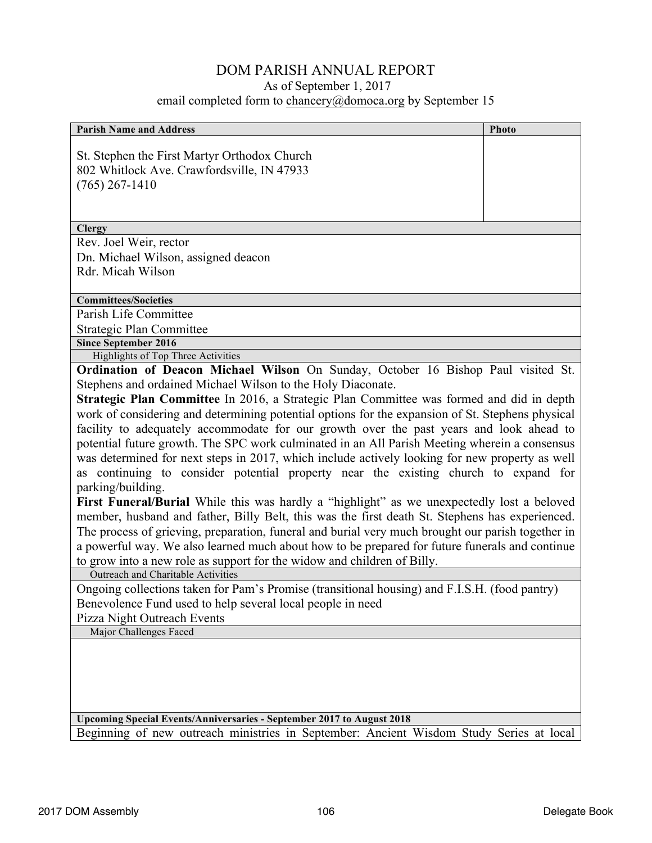## DOM PARISH ANNUAL REPORT

As of September 1, 2017

email completed form to chancery@domoca.org by September 15

| <b>Parish Name and Address</b>                                                                    | Photo |  |
|---------------------------------------------------------------------------------------------------|-------|--|
|                                                                                                   |       |  |
| St. Stephen the First Martyr Orthodox Church                                                      |       |  |
| 802 Whitlock Ave. Crawfordsville, IN 47933                                                        |       |  |
| $(765)$ 267-1410                                                                                  |       |  |
|                                                                                                   |       |  |
|                                                                                                   |       |  |
| <b>Clergy</b>                                                                                     |       |  |
| Rev. Joel Weir, rector                                                                            |       |  |
| Dn. Michael Wilson, assigned deacon                                                               |       |  |
| Rdr. Micah Wilson                                                                                 |       |  |
| <b>Committees/Societies</b>                                                                       |       |  |
| Parish Life Committee                                                                             |       |  |
| <b>Strategic Plan Committee</b>                                                                   |       |  |
| <b>Since September 2016</b>                                                                       |       |  |
| Highlights of Top Three Activities                                                                |       |  |
| Ordination of Deacon Michael Wilson On Sunday, October 16 Bishop Paul visited St.                 |       |  |
| Stephens and ordained Michael Wilson to the Holy Diaconate.                                       |       |  |
| Strategic Plan Committee In 2016, a Strategic Plan Committee was formed and did in depth          |       |  |
| work of considering and determining potential options for the expansion of St. Stephens physical  |       |  |
| facility to adequately accommodate for our growth over the past years and look ahead to           |       |  |
| potential future growth. The SPC work culminated in an All Parish Meeting wherein a consensus     |       |  |
| was determined for next steps in 2017, which include actively looking for new property as well    |       |  |
| as continuing to consider potential property near the existing church to expand for               |       |  |
| parking/building.                                                                                 |       |  |
| First Funeral/Burial While this was hardly a "highlight" as we unexpectedly lost a beloved        |       |  |
| member, husband and father, Billy Belt, this was the first death St. Stephens has experienced.    |       |  |
| The process of grieving, preparation, funeral and burial very much brought our parish together in |       |  |
| a powerful way. We also learned much about how to be prepared for future funerals and continue    |       |  |
| to grow into a new role as support for the widow and children of Billy.                           |       |  |
| Outreach and Charitable Activities                                                                |       |  |
| Ongoing collections taken for Pam's Promise (transitional housing) and F.I.S.H. (food pantry)     |       |  |
| Benevolence Fund used to help several local people in need                                        |       |  |
| Pizza Night Outreach Events                                                                       |       |  |
| Major Challenges Faced                                                                            |       |  |
|                                                                                                   |       |  |
|                                                                                                   |       |  |
|                                                                                                   |       |  |
|                                                                                                   |       |  |
|                                                                                                   |       |  |
| Upcoming Special Events/Anniversaries - September 2017 to August 2018                             |       |  |
| Beginning of new outreach ministries in September: Ancient Wisdom Study Series at local           |       |  |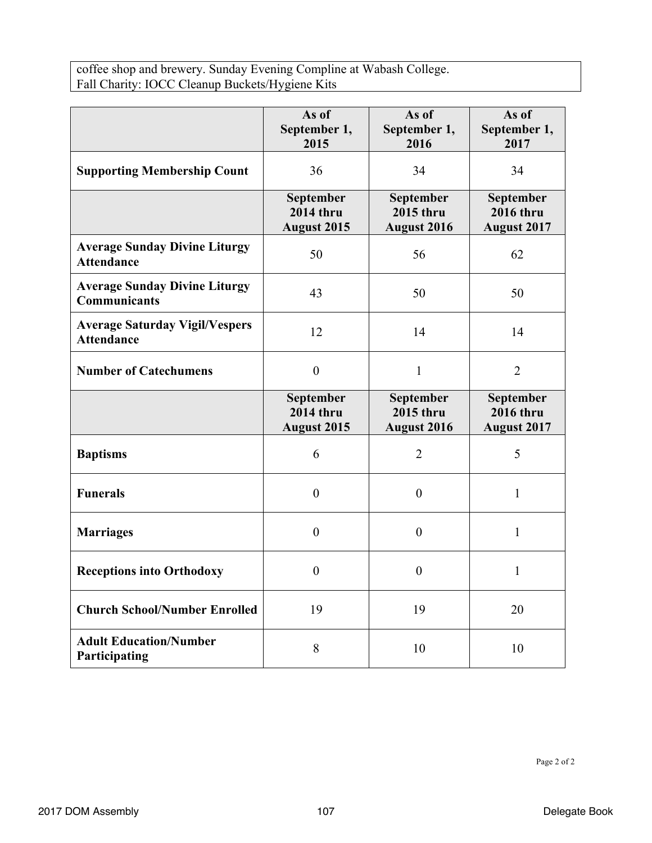coffee shop and brewery. Sunday Evening Compline at Wabash College. Fall Charity: IOCC Cleanup Buckets/Hygiene Kits

|                                                             | As of<br>September 1,<br>2015                       | As of<br>September 1,<br>2016                       | As of<br>September 1,<br>2017                       |
|-------------------------------------------------------------|-----------------------------------------------------|-----------------------------------------------------|-----------------------------------------------------|
| <b>Supporting Membership Count</b>                          | 36                                                  | 34                                                  | 34                                                  |
|                                                             | September<br><b>2014 thru</b><br><b>August 2015</b> | September<br><b>2015 thru</b><br><b>August 2016</b> | September<br><b>2016 thru</b><br><b>August 2017</b> |
| <b>Average Sunday Divine Liturgy</b><br><b>Attendance</b>   | 50                                                  | 56                                                  | 62                                                  |
| <b>Average Sunday Divine Liturgy</b><br><b>Communicants</b> | 43                                                  | 50                                                  | 50                                                  |
| <b>Average Saturday Vigil/Vespers</b><br><b>Attendance</b>  | 12                                                  | 14                                                  | 14                                                  |
| <b>Number of Catechumens</b>                                | $\boldsymbol{0}$                                    | $\mathbf{1}$                                        | $\overline{2}$                                      |
|                                                             | September<br><b>2014 thru</b><br><b>August 2015</b> | September<br><b>2015 thru</b><br><b>August 2016</b> | September<br><b>2016 thru</b><br><b>August 2017</b> |
| <b>Baptisms</b>                                             | 6                                                   | $\overline{2}$                                      | 5                                                   |
| <b>Funerals</b>                                             | $\theta$                                            | $\boldsymbol{0}$                                    | 1                                                   |
| <b>Marriages</b>                                            | $\theta$                                            | $\boldsymbol{0}$                                    | 1                                                   |
| <b>Receptions into Orthodoxy</b>                            | $\boldsymbol{0}$                                    | $\boldsymbol{0}$                                    | 1                                                   |
| <b>Church School/Number Enrolled</b>                        | 19                                                  | 19                                                  | 20                                                  |
| <b>Adult Education/Number</b><br>Participating              | 8                                                   | 10                                                  | 10                                                  |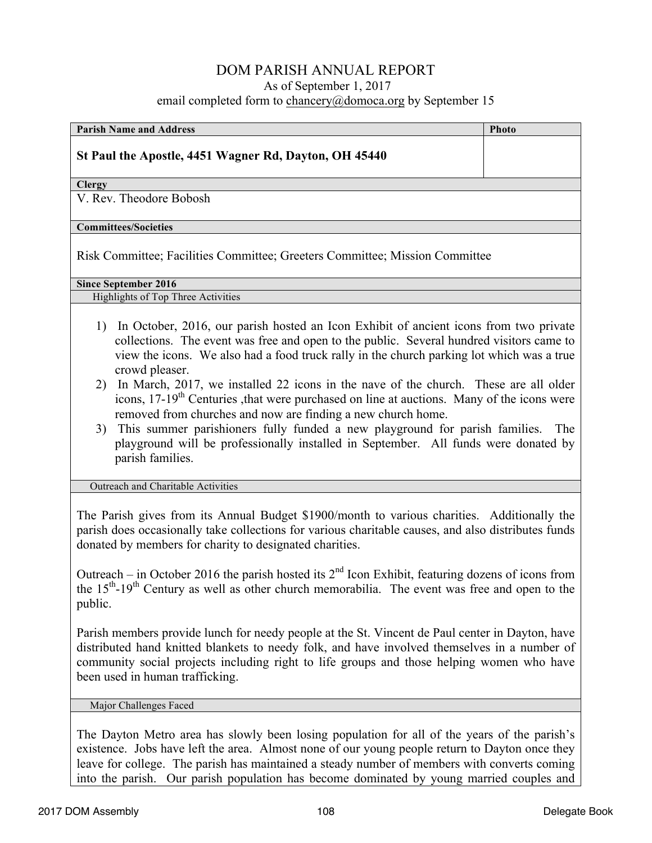| <b>Parish Name and Address</b>                                                                                                                                                                                                                                                                                                                                                                       | <b>Photo</b> |
|------------------------------------------------------------------------------------------------------------------------------------------------------------------------------------------------------------------------------------------------------------------------------------------------------------------------------------------------------------------------------------------------------|--------------|
| St Paul the Apostle, 4451 Wagner Rd, Dayton, OH 45440                                                                                                                                                                                                                                                                                                                                                |              |
| <b>Clergy</b>                                                                                                                                                                                                                                                                                                                                                                                        |              |
| V. Rev. Theodore Bobosh                                                                                                                                                                                                                                                                                                                                                                              |              |
| <b>Committees/Societies</b>                                                                                                                                                                                                                                                                                                                                                                          |              |
| Risk Committee; Facilities Committee; Greeters Committee; Mission Committee                                                                                                                                                                                                                                                                                                                          |              |
| <b>Since September 2016</b>                                                                                                                                                                                                                                                                                                                                                                          |              |
| Highlights of Top Three Activities                                                                                                                                                                                                                                                                                                                                                                   |              |
| In October, 2016, our parish hosted an Icon Exhibit of ancient icons from two private<br>1)<br>collections. The event was free and open to the public. Several hundred visitors came to<br>view the icons. We also had a food truck rally in the church parking lot which was a true<br>crowd pleaser.<br>In March, 2017, we installed 22 icons in the nave of the church. These are all older<br>2) |              |
| icons, 17-19 <sup>th</sup> Centuries , that were purchased on line at auctions. Many of the icons were                                                                                                                                                                                                                                                                                               |              |

removed from churches and now are finding a new church home. 3) This summer parishioners fully funded a new playground for parish families. The playground will be professionally installed in September. All funds were donated by parish families.

Outreach and Charitable Activities

The Parish gives from its Annual Budget \$1900/month to various charities. Additionally the parish does occasionally take collections for various charitable causes, and also distributes funds donated by members for charity to designated charities.

Outreach – in October 2016 the parish hosted its  $2<sup>nd</sup>$  Icon Exhibit, featuring dozens of icons from the 15<sup>th</sup>-19<sup>th</sup> Century as well as other church memorabilia. The event was free and open to the public.

Parish members provide lunch for needy people at the St. Vincent de Paul center in Dayton, have distributed hand knitted blankets to needy folk, and have involved themselves in a number of community social projects including right to life groups and those helping women who have been used in human trafficking.

#### Major Challenges Faced

The Dayton Metro area has slowly been losing population for all of the years of the parish's existence. Jobs have left the area. Almost none of our young people return to Dayton once they leave for college. The parish has maintained a steady number of members with converts coming into the parish. Our parish population has become dominated by young married couples and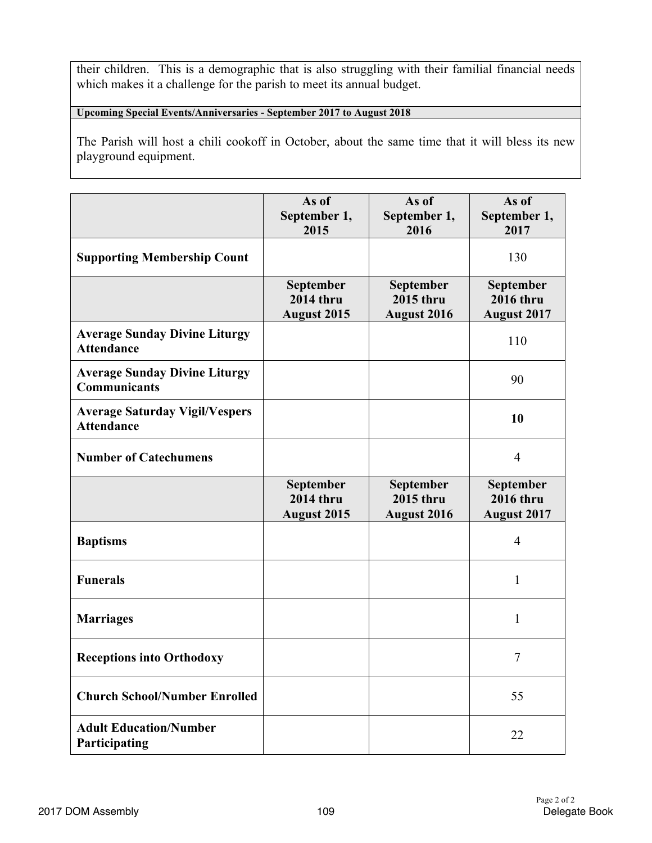their children. This is a demographic that is also struggling with their familial financial needs which makes it a challenge for the parish to meet its annual budget.

**Upcoming Special Events/Anniversaries - September 2017 to August 2018**

The Parish will host a chili cookoff in October, about the same time that it will bless its new playground equipment.

|                                                             | As of<br>September 1,<br>2015                              | As of<br>September 1,<br>2016                       | As of<br>September 1,<br>2017                       |
|-------------------------------------------------------------|------------------------------------------------------------|-----------------------------------------------------|-----------------------------------------------------|
| <b>Supporting Membership Count</b>                          |                                                            |                                                     | 130                                                 |
|                                                             | <b>September</b><br><b>2014 thru</b><br><b>August 2015</b> | <b>September</b><br><b>2015 thru</b><br>August 2016 | September<br><b>2016 thru</b><br><b>August 2017</b> |
| <b>Average Sunday Divine Liturgy</b><br><b>Attendance</b>   |                                                            |                                                     | 110                                                 |
| <b>Average Sunday Divine Liturgy</b><br><b>Communicants</b> |                                                            |                                                     | 90                                                  |
| <b>Average Saturday Vigil/Vespers</b><br><b>Attendance</b>  |                                                            |                                                     | 10                                                  |
| <b>Number of Catechumens</b>                                |                                                            |                                                     | $\overline{4}$                                      |
|                                                             | September<br><b>2014 thru</b><br><b>August 2015</b>        | September<br>2015 thru<br><b>August 2016</b>        | September<br><b>2016</b> thru<br><b>August 2017</b> |
| <b>Baptisms</b>                                             |                                                            |                                                     | $\overline{4}$                                      |
| <b>Funerals</b>                                             |                                                            |                                                     |                                                     |
|                                                             |                                                            |                                                     | 1                                                   |
| <b>Marriages</b>                                            |                                                            |                                                     | 1                                                   |
| <b>Receptions into Orthodoxy</b>                            |                                                            |                                                     | 7                                                   |
| <b>Church School/Number Enrolled</b>                        |                                                            |                                                     | 55                                                  |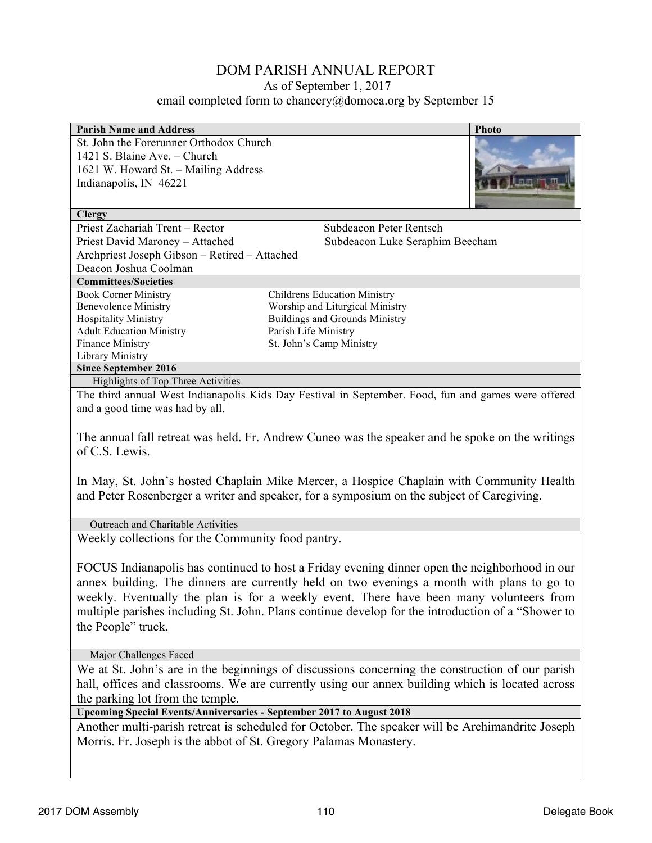| <b>Parish Name and Address</b>                |                                                                                                     | <b>Photo</b> |
|-----------------------------------------------|-----------------------------------------------------------------------------------------------------|--------------|
| St. John the Forerunner Orthodox Church       |                                                                                                     |              |
| 1421 S. Blaine Ave. – Church                  |                                                                                                     |              |
| 1621 W. Howard St. - Mailing Address          |                                                                                                     |              |
| Indianapolis, IN 46221                        |                                                                                                     |              |
|                                               |                                                                                                     |              |
| <b>Clergy</b>                                 |                                                                                                     |              |
| Priest Zachariah Trent – Rector               | Subdeacon Peter Rentsch                                                                             |              |
| Priest David Maroney - Attached               | Subdeacon Luke Seraphim Beecham                                                                     |              |
| Archpriest Joseph Gibson - Retired - Attached |                                                                                                     |              |
| Deacon Joshua Coolman                         |                                                                                                     |              |
| <b>Committees/Societies</b>                   |                                                                                                     |              |
| <b>Book Corner Ministry</b>                   | <b>Childrens Education Ministry</b>                                                                 |              |
| <b>Benevolence Ministry</b>                   | Worship and Liturgical Ministry                                                                     |              |
| <b>Hospitality Ministry</b>                   | <b>Buildings and Grounds Ministry</b>                                                               |              |
| <b>Adult Education Ministry</b>               | Parish Life Ministry                                                                                |              |
| <b>Finance Ministry</b>                       | St. John's Camp Ministry                                                                            |              |
| Library Ministry                              |                                                                                                     |              |
| <b>Since September 2016</b>                   |                                                                                                     |              |
| Highlights of Top Three Activities            |                                                                                                     |              |
|                                               | The third annual West Indianapolis Kids Day Festival in September. Food, fun and games were offered |              |
| and a good time was had by all.               |                                                                                                     |              |

The annual fall retreat was held. Fr. Andrew Cuneo was the speaker and he spoke on the writings of C.S. Lewis.

In May, St. John's hosted Chaplain Mike Mercer, a Hospice Chaplain with Community Health and Peter Rosenberger a writer and speaker, for a symposium on the subject of Caregiving.

Outreach and Charitable Activities

Weekly collections for the Community food pantry.

FOCUS Indianapolis has continued to host a Friday evening dinner open the neighborhood in our annex building. The dinners are currently held on two evenings a month with plans to go to weekly. Eventually the plan is for a weekly event. There have been many volunteers from multiple parishes including St. John. Plans continue develop for the introduction of a "Shower to the People" truck.

Major Challenges Faced

We at St. John's are in the beginnings of discussions concerning the construction of our parish hall, offices and classrooms. We are currently using our annex building which is located across the parking lot from the temple.

**Upcoming Special Events/Anniversaries - September 2017 to August 2018**

Another multi-parish retreat is scheduled for October. The speaker will be Archimandrite Joseph Morris. Fr. Joseph is the abbot of St. Gregory Palamas Monastery.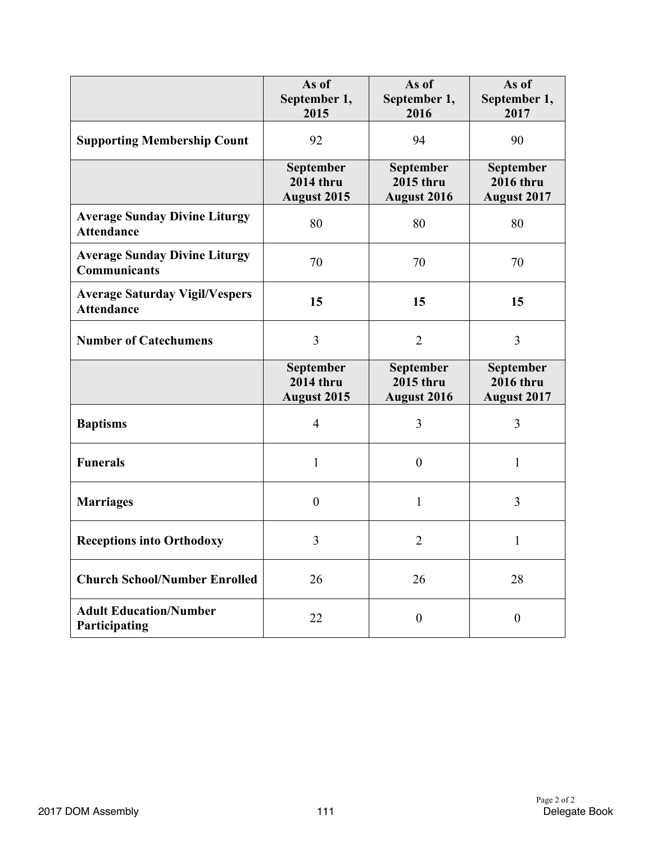|                                                             | As of<br>September 1,<br>2015                       | As of<br>September 1,<br>2016                       | As of<br>September 1,<br>2017                       |
|-------------------------------------------------------------|-----------------------------------------------------|-----------------------------------------------------|-----------------------------------------------------|
| <b>Supporting Membership Count</b>                          | 92                                                  | 94                                                  | 90                                                  |
|                                                             | September<br><b>2014 thru</b><br><b>August 2015</b> | September<br><b>2015 thru</b><br><b>August 2016</b> | September<br><b>2016 thru</b><br><b>August 2017</b> |
| <b>Average Sunday Divine Liturgy</b><br><b>Attendance</b>   | 80                                                  | 80                                                  | 80                                                  |
| <b>Average Sunday Divine Liturgy</b><br><b>Communicants</b> | 70                                                  | 70                                                  | 70                                                  |
| <b>Average Saturday Vigil/Vespers</b><br><b>Attendance</b>  | 15                                                  | 15                                                  | 15                                                  |
| <b>Number of Catechumens</b>                                | 3                                                   | $\overline{2}$                                      | 3                                                   |
|                                                             | September<br>$2014$ thru<br><b>August 2015</b>      | September<br><b>2015 thru</b><br><b>August 2016</b> | September<br><b>2016 thru</b><br><b>August 2017</b> |
| <b>Baptisms</b>                                             | $\overline{4}$                                      | 3                                                   | $\overline{3}$                                      |
| <b>Funerals</b>                                             | 1                                                   | $\boldsymbol{0}$                                    | $\mathbf{1}$                                        |
| <b>Marriages</b>                                            | $\overline{0}$                                      | 1                                                   | 3                                                   |
| <b>Receptions into Orthodoxy</b>                            | 3                                                   | $\overline{2}$                                      | $\mathbf{1}$                                        |
| <b>Church School/Number Enrolled</b>                        | 26                                                  | 26                                                  | 28                                                  |
| <b>Adult Education/Number</b><br>Participating              | 22                                                  | $\boldsymbol{0}$                                    | $\boldsymbol{0}$                                    |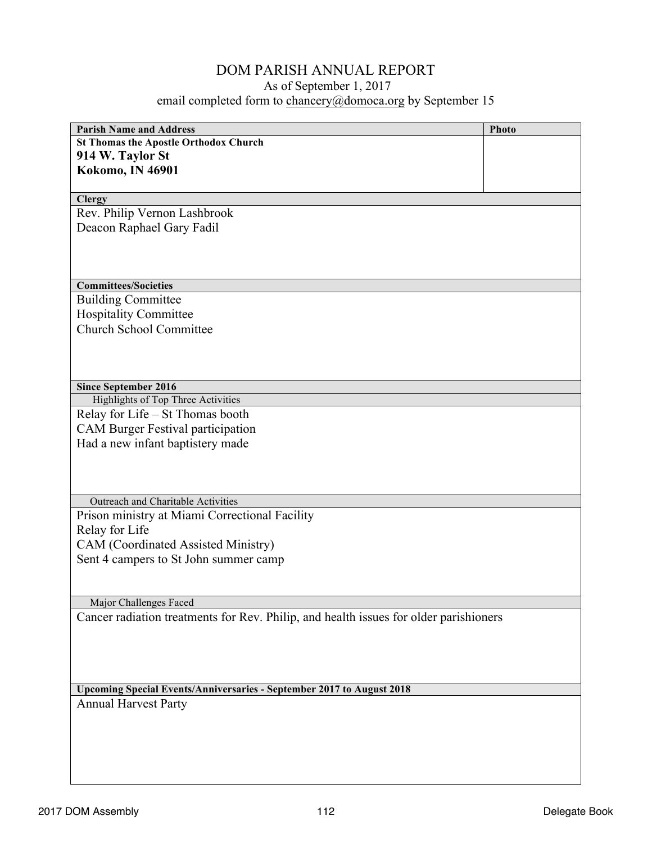| <b>Parish Name and Address</b>                                                        |              |
|---------------------------------------------------------------------------------------|--------------|
| <b>St Thomas the Apostle Orthodox Church</b>                                          | <b>Photo</b> |
|                                                                                       |              |
| 914 W. Taylor St                                                                      |              |
| <b>Kokomo, IN 46901</b>                                                               |              |
|                                                                                       |              |
| <b>Clergy</b>                                                                         |              |
| Rev. Philip Vernon Lashbrook                                                          |              |
| Deacon Raphael Gary Fadil                                                             |              |
|                                                                                       |              |
|                                                                                       |              |
| <b>Committees/Societies</b>                                                           |              |
|                                                                                       |              |
| <b>Building Committee</b>                                                             |              |
| <b>Hospitality Committee</b>                                                          |              |
| <b>Church School Committee</b>                                                        |              |
|                                                                                       |              |
|                                                                                       |              |
|                                                                                       |              |
| <b>Since September 2016</b>                                                           |              |
| Highlights of Top Three Activities<br>Relay for Life - St Thomas booth                |              |
|                                                                                       |              |
| <b>CAM Burger Festival participation</b>                                              |              |
| Had a new infant baptistery made                                                      |              |
|                                                                                       |              |
|                                                                                       |              |
|                                                                                       |              |
| Outreach and Charitable Activities                                                    |              |
| Prison ministry at Miami Correctional Facility                                        |              |
| Relay for Life                                                                        |              |
| CAM (Coordinated Assisted Ministry)                                                   |              |
| Sent 4 campers to St John summer camp                                                 |              |
|                                                                                       |              |
|                                                                                       |              |
| Major Challenges Faced                                                                |              |
| Cancer radiation treatments for Rev. Philip, and health issues for older parishioners |              |
|                                                                                       |              |
|                                                                                       |              |
|                                                                                       |              |
|                                                                                       |              |
| Upcoming Special Events/Anniversaries - September 2017 to August 2018                 |              |
| <b>Annual Harvest Party</b>                                                           |              |
|                                                                                       |              |
|                                                                                       |              |
|                                                                                       |              |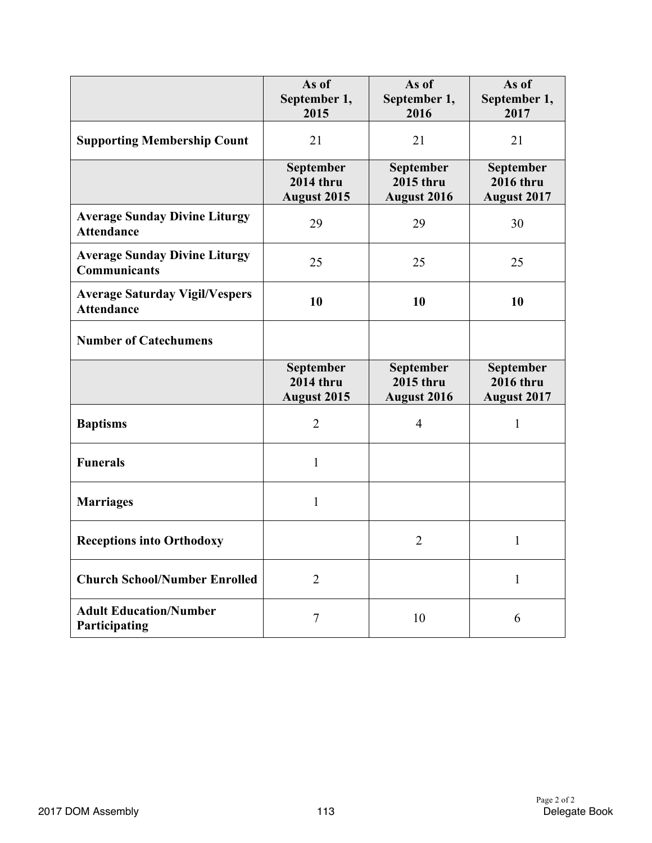|                                                             | As of<br>September 1,<br>2015                       | As of<br>September 1,<br>2016                       | As of<br>September 1,<br>2017                       |
|-------------------------------------------------------------|-----------------------------------------------------|-----------------------------------------------------|-----------------------------------------------------|
| <b>Supporting Membership Count</b>                          | 21                                                  | 21                                                  | 21                                                  |
|                                                             | September<br><b>2014 thru</b><br><b>August 2015</b> | September<br><b>2015 thru</b><br><b>August 2016</b> | September<br><b>2016 thru</b><br><b>August 2017</b> |
| <b>Average Sunday Divine Liturgy</b><br><b>Attendance</b>   | 29                                                  | 29                                                  | 30                                                  |
| <b>Average Sunday Divine Liturgy</b><br><b>Communicants</b> | 25                                                  | 25                                                  | 25                                                  |
| <b>Average Saturday Vigil/Vespers</b><br><b>Attendance</b>  | 10                                                  | 10                                                  | 10                                                  |
| <b>Number of Catechumens</b>                                |                                                     |                                                     |                                                     |
|                                                             | September<br><b>2014 thru</b><br><b>August 2015</b> | September<br><b>2015 thru</b><br><b>August 2016</b> | September<br><b>2016 thru</b><br><b>August 2017</b> |
| <b>Baptisms</b>                                             | $\overline{2}$                                      | $\overline{4}$                                      | $\mathbf{1}$                                        |
| <b>Funerals</b>                                             | $\mathbf{1}$                                        |                                                     |                                                     |
| <b>Marriages</b>                                            | $\mathbf{1}$                                        |                                                     |                                                     |
| <b>Receptions into Orthodoxy</b>                            |                                                     | $\overline{2}$                                      | $\mathbf{1}$                                        |
| <b>Church School/Number Enrolled</b>                        | $\overline{2}$                                      |                                                     | $\mathbf{1}$                                        |
| <b>Adult Education/Number</b><br>Participating              | $\tau$                                              | 10                                                  | 6                                                   |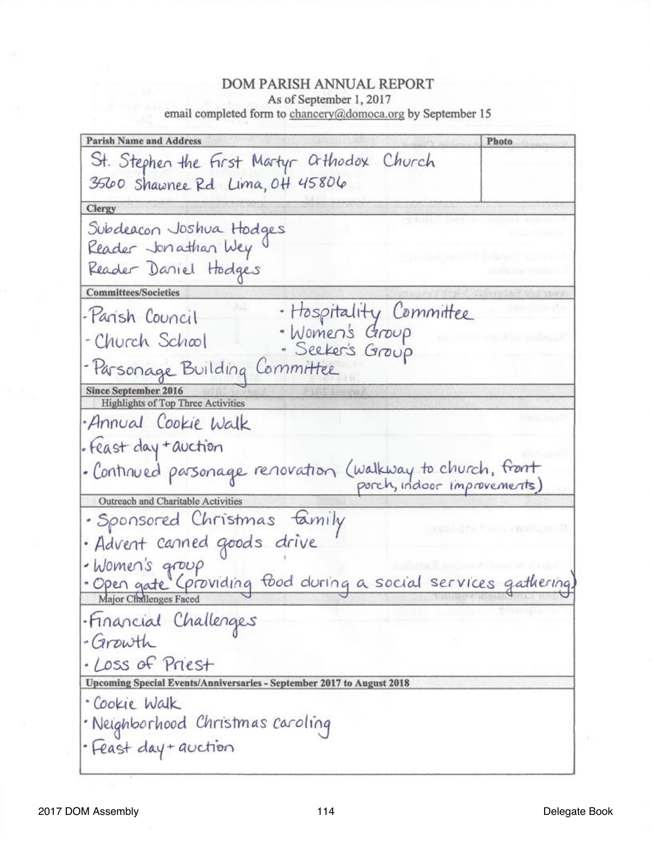**Parish Name and Address** Photo St. Stephen the First Martyr athodox Church 3560 Shawnee Rd Lima, 0H 45806 Clergy Subdeacon Joshua Hodges Reader Jonathan Wey Reader Daniel Hodges **Committees/Societies** · Haspitality Committee<br>· Women's Group<br>· Seeker's Group -Parish Council - Church School - Parsonage Building Committee **Since September 2016 Highlights of Top Three Activities** Annual Cookie Walk · Feast day + auction · Continued parsonage renovation (walkway to church, front Outreach and Charitable Activities · Sponsored Christmas family · Advent canned goods drive · Women's group · Open gate (providing food during a social services gathering) ·Financial Challenges - Growth · Loss of Priest Upcoming Special Events/Anniversaries - September 2017 to August 2018 · Cookie Walk · Neighborhood Christmas caroling · Feast day + auction